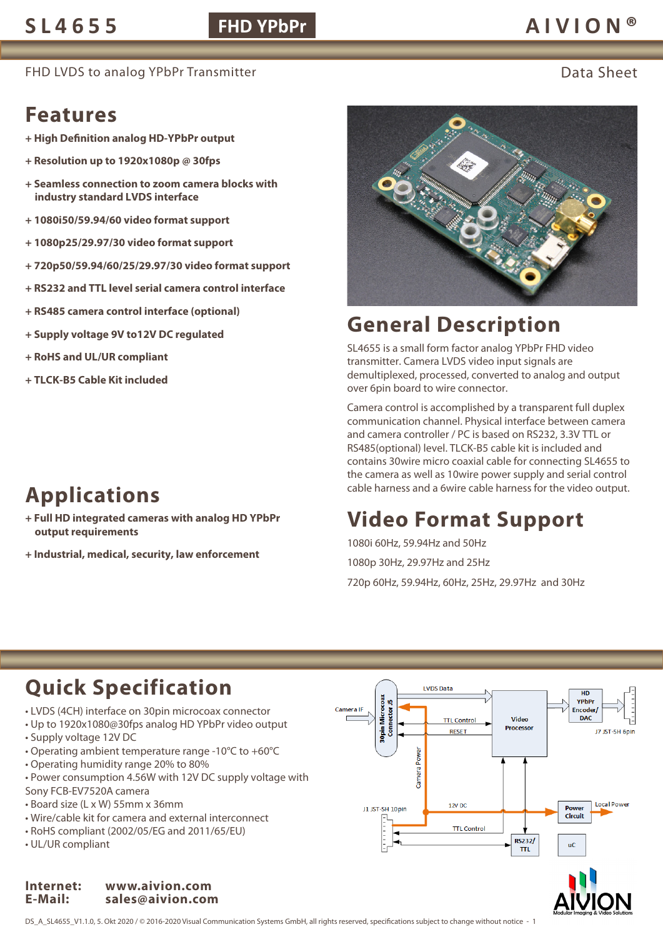### **FHD YPbPr**

### **SL4655 AIVION®**

FHD LVDS to analog YPbPr Transmitter **Example 2018** Control of the Data Sheet

### **Features**

- **+ High Definition analog HD-YPbPr output**
- **+ Resolution up to 1920x1080p @ 30fps**
- **+ Seamless connection to zoom camera blocks with industry standard LVDS interface**
- **+ 1080i50/59.94/60 video format support**
- **+ 1080p25/29.97/30 video format support**
- **+ 720p50/59.94/60/25/29.97/30 video format support**
- **+ RS232 and TTL level serial camera control interface**
- **+ RS485 camera control interface (optional)**
- **+ Supply voltage 9V to12V DC regulated**
- **+ RoHS and UL/UR compliant**
- **+ TLCK-B5 Cable Kit included**



- **+ Full HD integrated cameras with analog HD YPbPr output requirements**
- **+ Industrial, medical, security, law enforcement**



## **General Description**

SL4655 is a small form factor analog YPbPr FHD video transmitter. Camera LVDS video input signals are demultiplexed, processed, converted to analog and output over 6pin board to wire connector.

Camera control is accomplished by a transparent full duplex communication channel. Physical interface between camera and camera controller / PC is based on RS232, 3.3V TTL or RS485(optional) level. TLCK-B5 cable kit is included and contains 30wire micro coaxial cable for connecting SL4655 to the camera as well as 10wire power supply and serial control cable harness and a 6wire cable harness for the video output.

# **Video Format Support**

1080i 60Hz, 59.94Hz and 50Hz 1080p 30Hz, 29.97Hz and 25Hz

720p 60Hz, 59.94Hz, 60Hz, 25Hz, 29.97Hz and 30Hz

# **Quick Specification**

- LVDS (4CH) interface on 30pin microcoax connector
- Up to 1920x1080@30fps analog HD YPbPr video output
- Supply voltage 12V DC
- Operating ambient temperature range -10°C to +60°C
- Operating humidity range 20% to 80%
- Power consumption 4.56W with 12V DC supply voltage with Sony FCB-EV7520A camera
- Board size (L x W) 55mm x 36mm
- Wire/cable kit for camera and external interconnect
- RoHS compliant (2002/05/EG and 2011/65/EU)
- UL/UR compliant

#### **Internet: www.aivion.com E-Mail: sales@aivion.com**